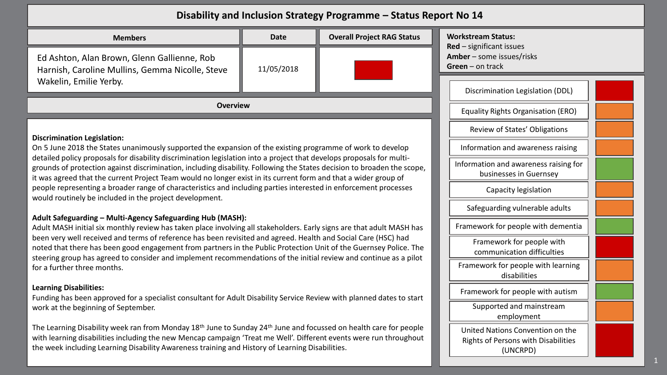## **Disability and Inclusion Strategy Programme – Status Report No 14**

| <b>Members</b>                                                                                                           | <b>Date</b> | <b>Overall Project RAG Status</b> | Wor<br><b>Red</b> |  |  |
|--------------------------------------------------------------------------------------------------------------------------|-------------|-----------------------------------|-------------------|--|--|
| Ed Ashton, Alan Brown, Glenn Gallienne, Rob<br>Harnish, Caroline Mullins, Gemma Nicolle, Steve<br>Wakelin, Emilie Yerby. | 11/05/2018  |                                   | Aml<br>Gre        |  |  |
| <b>Overview</b>                                                                                                          |             |                                   |                   |  |  |

### **Discrimination Legislation:**

On 5 June 2018 the States unanimously supported the expansion of the existing programme of work to develop detailed policy proposals for disability discrimination legislation into a project that develops proposals for multigrounds of protection against discrimination, including disability. Following the States decision to broaden the scope, it was agreed that the current Project Team would no longer exist in its current form and that a wider group of people representing a broader range of characteristics and including parties interested in enforcement processes would routinely be included in the project development.

### **Adult Safeguarding – Multi-Agency Safeguarding Hub (MASH):**

Adult MASH initial six monthly review has taken place involving all stakeholders. Early signs are that adult MASH has been very well received and terms of reference has been revisited and agreed. Health and Social Care (HSC) had noted that there has been good engagement from partners in the Public Protection Unit of the Guernsey Police. The steering group has agreed to consider and implement recommendations of the initial review and continue as a pilot for a further three months.

#### **Learning Disabilities:**

Funding has been approved for a specialist consultant for Adult Disability Service Review with planned dates to start work at the beginning of September.

The Learning Disability week ran from Monday 18th June to Sunday 24th June and focussed on health care for people with learning disabilities including the new Mencap campaign 'Treat me Well'. Different events were run throughout the week including Learning Disability Awareness training and History of Learning Disabilities.

**Workstream Status: Red** – significant issues **ber** – some issues/risks **en** – on track

| Discrimination Legislation (DDL)                                                           |
|--------------------------------------------------------------------------------------------|
| Equality Rights Organisation (ERO)                                                         |
| Review of States' Obligations                                                              |
| Information and awareness raising                                                          |
| Information and awareness raising for<br>businesses in Guernsey                            |
| Capacity legislation                                                                       |
| Safeguarding vulnerable adults                                                             |
| Framework for people with dementia                                                         |
| Framework for people with<br>communication difficulties                                    |
| Framework for people with learning<br>disabilities                                         |
| Framework for people with autism                                                           |
| Supported and mainstream<br>employment                                                     |
| United Nations Convention on the<br><b>Rights of Persons with Disabilities</b><br>(UNCRPD) |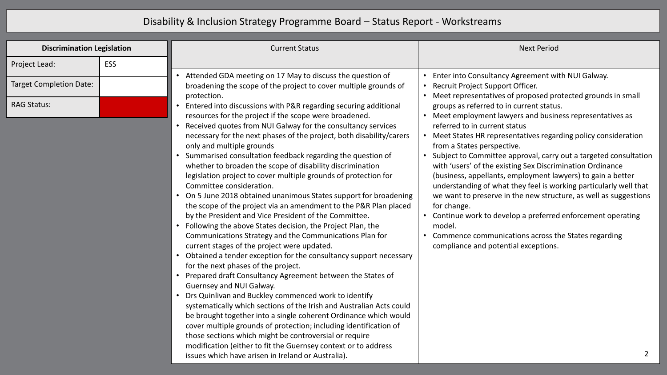# Disability & Inclusion Strategy Programme Board – Status Report - Workstreams

| <b>Discrimination Legislation</b> | <b>Current Status</b>                                                                                                                                                                                                                                                                                                                                                                                                                                                                                                                                                                                                                                                                                                                                                                                                                                                                                                                                                                                                                                                                                                                                                                                                                                                                                                                                                                                                                                                                                                                                               | <b>Next Period</b>                                                                                                                                                                                                                                                                                                                                                                                                                                                                                                                                                                                                                                                                                                                                                                     |
|-----------------------------------|---------------------------------------------------------------------------------------------------------------------------------------------------------------------------------------------------------------------------------------------------------------------------------------------------------------------------------------------------------------------------------------------------------------------------------------------------------------------------------------------------------------------------------------------------------------------------------------------------------------------------------------------------------------------------------------------------------------------------------------------------------------------------------------------------------------------------------------------------------------------------------------------------------------------------------------------------------------------------------------------------------------------------------------------------------------------------------------------------------------------------------------------------------------------------------------------------------------------------------------------------------------------------------------------------------------------------------------------------------------------------------------------------------------------------------------------------------------------------------------------------------------------------------------------------------------------|----------------------------------------------------------------------------------------------------------------------------------------------------------------------------------------------------------------------------------------------------------------------------------------------------------------------------------------------------------------------------------------------------------------------------------------------------------------------------------------------------------------------------------------------------------------------------------------------------------------------------------------------------------------------------------------------------------------------------------------------------------------------------------------|
| ESS<br>Project Lead:              |                                                                                                                                                                                                                                                                                                                                                                                                                                                                                                                                                                                                                                                                                                                                                                                                                                                                                                                                                                                                                                                                                                                                                                                                                                                                                                                                                                                                                                                                                                                                                                     |                                                                                                                                                                                                                                                                                                                                                                                                                                                                                                                                                                                                                                                                                                                                                                                        |
| <b>Target Completion Date:</b>    | Attended GDA meeting on 17 May to discuss the question of<br>broadening the scope of the project to cover multiple grounds of<br>protection.                                                                                                                                                                                                                                                                                                                                                                                                                                                                                                                                                                                                                                                                                                                                                                                                                                                                                                                                                                                                                                                                                                                                                                                                                                                                                                                                                                                                                        | • Enter into Consultancy Agreement with NUI Galway.<br>Recruit Project Support Officer.<br>Meet representatives of proposed protected grounds in small                                                                                                                                                                                                                                                                                                                                                                                                                                                                                                                                                                                                                                 |
| <b>RAG Status:</b><br>$\bullet$   | Entered into discussions with P&R regarding securing additional<br>resources for the project if the scope were broadened.<br>Received quotes from NUI Galway for the consultancy services<br>necessary for the next phases of the project, both disability/carers<br>only and multiple grounds<br>Summarised consultation feedback regarding the question of<br>whether to broaden the scope of disability discrimination<br>legislation project to cover multiple grounds of protection for<br>Committee consideration.<br>• On 5 June 2018 obtained unanimous States support for broadening<br>the scope of the project via an amendment to the P&R Plan placed<br>by the President and Vice President of the Committee.<br>Following the above States decision, the Project Plan, the<br>Communications Strategy and the Communications Plan for<br>current stages of the project were updated.<br>Obtained a tender exception for the consultancy support necessary<br>for the next phases of the project.<br>Prepared draft Consultancy Agreement between the States of<br>Guernsey and NUI Galway.<br>Drs Quinlivan and Buckley commenced work to identify<br>systematically which sections of the Irish and Australian Acts could<br>be brought together into a single coherent Ordinance which would<br>cover multiple grounds of protection; including identification of<br>those sections which might be controversial or require<br>modification (either to fit the Guernsey context or to address<br>issues which have arisen in Ireland or Australia). | groups as referred to in current status.<br>• Meet employment lawyers and business representatives as<br>referred to in current status<br>Meet States HR representatives regarding policy consideration<br>from a States perspective.<br>Subject to Committee approval, carry out a targeted consultation<br>with 'users' of the existing Sex Discrimination Ordinance<br>(business, appellants, employment lawyers) to gain a better<br>understanding of what they feel is working particularly well that<br>we want to preserve in the new structure, as well as suggestions<br>for change.<br>Continue work to develop a preferred enforcement operating<br>model.<br>Commence communications across the States regarding<br>compliance and potential exceptions.<br>$\overline{2}$ |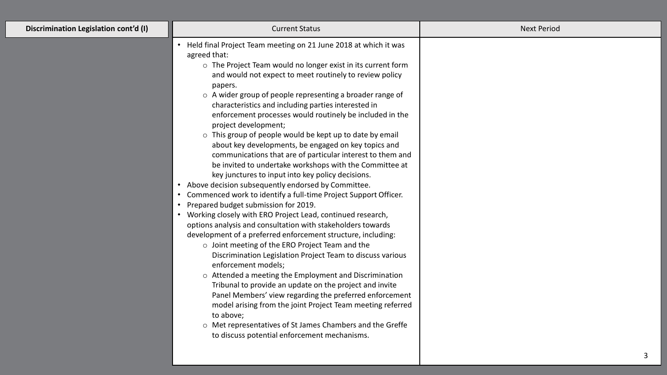| Discrimination Legislation cont'd (I) | <b>Current Status</b>                                                                                                                                                                                                                                                                                                                                                                                                                                                                                                                                                                                                                                                                                                                                                                                                                                                                                                                                                                                                                                                                                                                                                                                                                                                                                                                                                                                                                                                                                                                                                                                           | <b>Next Period</b> |
|---------------------------------------|-----------------------------------------------------------------------------------------------------------------------------------------------------------------------------------------------------------------------------------------------------------------------------------------------------------------------------------------------------------------------------------------------------------------------------------------------------------------------------------------------------------------------------------------------------------------------------------------------------------------------------------------------------------------------------------------------------------------------------------------------------------------------------------------------------------------------------------------------------------------------------------------------------------------------------------------------------------------------------------------------------------------------------------------------------------------------------------------------------------------------------------------------------------------------------------------------------------------------------------------------------------------------------------------------------------------------------------------------------------------------------------------------------------------------------------------------------------------------------------------------------------------------------------------------------------------------------------------------------------------|--------------------|
|                                       | • Held final Project Team meeting on 21 June 2018 at which it was<br>agreed that:<br>o The Project Team would no longer exist in its current form<br>and would not expect to meet routinely to review policy<br>papers.<br>o A wider group of people representing a broader range of<br>characteristics and including parties interested in<br>enforcement processes would routinely be included in the<br>project development;<br>o This group of people would be kept up to date by email<br>about key developments, be engaged on key topics and<br>communications that are of particular interest to them and<br>be invited to undertake workshops with the Committee at<br>key junctures to input into key policy decisions.<br>Above decision subsequently endorsed by Committee.<br>Commenced work to identify a full-time Project Support Officer.<br>Prepared budget submission for 2019.<br>Working closely with ERO Project Lead, continued research,<br>options analysis and consultation with stakeholders towards<br>development of a preferred enforcement structure, including:<br>o Joint meeting of the ERO Project Team and the<br>Discrimination Legislation Project Team to discuss various<br>enforcement models;<br>o Attended a meeting the Employment and Discrimination<br>Tribunal to provide an update on the project and invite<br>Panel Members' view regarding the preferred enforcement<br>model arising from the joint Project Team meeting referred<br>to above;<br>o Met representatives of St James Chambers and the Greffe<br>to discuss potential enforcement mechanisms. |                    |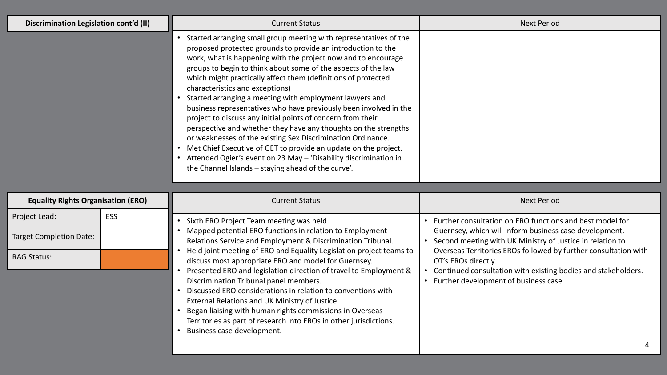| Discrimination Legislation cont'd (II)    |     | <b>Current Status</b>                                                                                                                                                                                                                                                                                                                                                                                                                                                                                                                                                                                                                                                                                                                                                                                                                                                                                              | <b>Next Period</b>                                                                                                                                                                                   |
|-------------------------------------------|-----|--------------------------------------------------------------------------------------------------------------------------------------------------------------------------------------------------------------------------------------------------------------------------------------------------------------------------------------------------------------------------------------------------------------------------------------------------------------------------------------------------------------------------------------------------------------------------------------------------------------------------------------------------------------------------------------------------------------------------------------------------------------------------------------------------------------------------------------------------------------------------------------------------------------------|------------------------------------------------------------------------------------------------------------------------------------------------------------------------------------------------------|
|                                           |     | Started arranging small group meeting with representatives of the<br>proposed protected grounds to provide an introduction to the<br>work, what is happening with the project now and to encourage<br>groups to begin to think about some of the aspects of the law<br>which might practically affect them (definitions of protected<br>characteristics and exceptions)<br>Started arranging a meeting with employment lawyers and<br>business representatives who have previously been involved in the<br>project to discuss any initial points of concern from their<br>perspective and whether they have any thoughts on the strengths<br>or weaknesses of the existing Sex Discrimination Ordinance.<br>Met Chief Executive of GET to provide an update on the project.<br>$\bullet$<br>Attended Ogier's event on 23 May - 'Disability discrimination in<br>the Channel Islands - staying ahead of the curve'. |                                                                                                                                                                                                      |
|                                           |     |                                                                                                                                                                                                                                                                                                                                                                                                                                                                                                                                                                                                                                                                                                                                                                                                                                                                                                                    |                                                                                                                                                                                                      |
| <b>Equality Rights Organisation (ERO)</b> |     | <b>Current Status</b>                                                                                                                                                                                                                                                                                                                                                                                                                                                                                                                                                                                                                                                                                                                                                                                                                                                                                              | <b>Next Period</b>                                                                                                                                                                                   |
| Project Lead:                             | ESS | Sixth ERO Project Team meeting was held.                                                                                                                                                                                                                                                                                                                                                                                                                                                                                                                                                                                                                                                                                                                                                                                                                                                                           | • Further consultation on ERO functions and best model for                                                                                                                                           |
| <b>Target Completion Date:</b>            |     | Mapped potential ERO functions in relation to Employment<br>Relations Service and Employment & Discrimination Tribunal.                                                                                                                                                                                                                                                                                                                                                                                                                                                                                                                                                                                                                                                                                                                                                                                            | Guernsey, which will inform business case development.<br>Second meeting with UK Ministry of Justice in relation to                                                                                  |
| <b>RAG Status:</b>                        |     | Held joint meeting of ERO and Equality Legislation project teams to<br>discuss most appropriate ERO and model for Guernsey.<br>Presented ERO and legislation direction of travel to Employment &<br>$\bullet$<br>Discrimination Tribunal panel members.<br>Discussed ERO considerations in relation to conventions with<br>External Relations and UK Ministry of Justice.<br>Began liaising with human rights commissions in Overseas<br>Territories as part of research into EROs in other jurisdictions.<br>Business case development.<br>$\bullet$                                                                                                                                                                                                                                                                                                                                                              | Overseas Territories EROs followed by further consultation with<br>OT's EROs directly.<br>• Continued consultation with existing bodies and stakeholders.<br>• Further development of business case. |
|                                           |     |                                                                                                                                                                                                                                                                                                                                                                                                                                                                                                                                                                                                                                                                                                                                                                                                                                                                                                                    |                                                                                                                                                                                                      |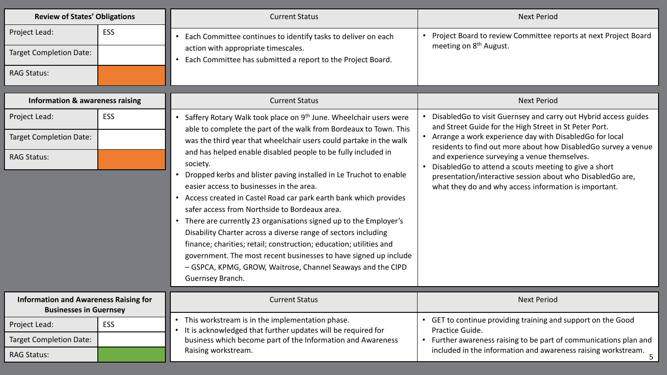| <b>Review of States' Obligations</b>                                          |            | <b>Current Status</b>                                                                                                                                                                                                                                                                                                                                                                                                                                                                                                                                                                                      | <b>Next Period</b>                                                                                                          |
|-------------------------------------------------------------------------------|------------|------------------------------------------------------------------------------------------------------------------------------------------------------------------------------------------------------------------------------------------------------------------------------------------------------------------------------------------------------------------------------------------------------------------------------------------------------------------------------------------------------------------------------------------------------------------------------------------------------------|-----------------------------------------------------------------------------------------------------------------------------|
| Project Lead:                                                                 | <b>ESS</b> | Each Committee continues to identify tasks to deliver on each                                                                                                                                                                                                                                                                                                                                                                                                                                                                                                                                              | • Project Board to review Committee reports at next Project Board<br>meeting on 8 <sup>th</sup> August.                     |
| <b>Target Completion Date:</b>                                                |            | action with appropriate timescales.<br>Each Committee has submitted a report to the Project Board.                                                                                                                                                                                                                                                                                                                                                                                                                                                                                                         |                                                                                                                             |
| <b>RAG Status:</b>                                                            |            |                                                                                                                                                                                                                                                                                                                                                                                                                                                                                                                                                                                                            |                                                                                                                             |
| <b>Information &amp; awareness raising</b>                                    |            | <b>Current Status</b>                                                                                                                                                                                                                                                                                                                                                                                                                                                                                                                                                                                      | <b>Next Period</b>                                                                                                          |
| Project Lead:                                                                 | ESS        | Saffery Rotary Walk took place on 9 <sup>th</sup> June. Wheelchair users were                                                                                                                                                                                                                                                                                                                                                                                                                                                                                                                              | DisabledGo to visit Guernsey and carry out Hybrid access guides<br>and Street Guide for the High Street in St Peter Port.   |
| <b>Target Completion Date:</b>                                                |            | able to complete the part of the walk from Bordeaux to Town. This<br>was the third year that wheelchair users could partake in the walk                                                                                                                                                                                                                                                                                                                                                                                                                                                                    | • Arrange a work experience day with DisabledGo for local<br>residents to find out more about how DisabledGo survey a venue |
| <b>RAG Status:</b>                                                            |            | and has helped enable disabled people to be fully included in<br>society.                                                                                                                                                                                                                                                                                                                                                                                                                                                                                                                                  | and experience surveying a venue themselves.<br>DisabledGo to attend a scouts meeting to give a short                       |
|                                                                               |            | Dropped kerbs and blister paving installed in Le Truchot to enable<br>easier access to businesses in the area.<br>• Access created in Castel Road car park earth bank which provides<br>safer access from Northside to Bordeaux area.<br>• There are currently 23 organisations signed up to the Employer's<br>Disability Charter across a diverse range of sectors including<br>finance; charities; retail; construction; education; utilities and<br>government. The most recent businesses to have signed up include<br>- GSPCA, KPMG, GROW, Waitrose, Channel Seaways and the CIPD<br>Guernsey Branch. | presentation/interactive session about who DisabledGo are,<br>what they do and why access information is important.         |
| <b>Information and Awareness Raising for</b><br><b>Businesses in Guernsey</b> |            | <b>Current Status</b>                                                                                                                                                                                                                                                                                                                                                                                                                                                                                                                                                                                      | <b>Next Period</b>                                                                                                          |
| Project Lead:                                                                 | <b>ESS</b> | This workstream is in the implementation phase.<br>It is acknowledged that further updates will be required for                                                                                                                                                                                                                                                                                                                                                                                                                                                                                            | • GET to continue providing training and support on the Good<br>Practice Guide.                                             |
| <b>Target Completion Date:</b>                                                |            | business which become part of the Information and Awareness                                                                                                                                                                                                                                                                                                                                                                                                                                                                                                                                                | • Further awareness raising to be part of communications plan and                                                           |
| <b>RAG Status:</b>                                                            |            | Raising workstream.                                                                                                                                                                                                                                                                                                                                                                                                                                                                                                                                                                                        | included in the information and awareness raising workstream.                                                               |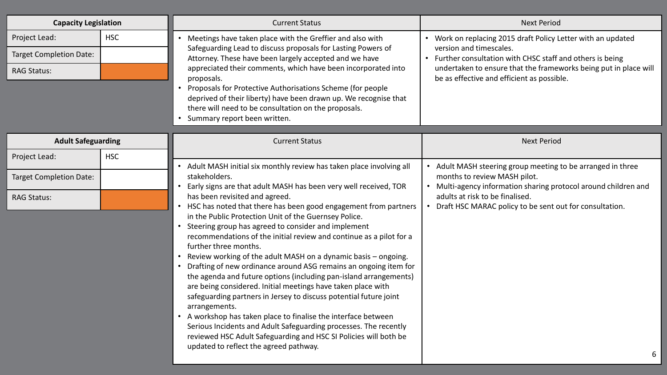| <b>Capacity Legislation</b>                                           |            | <b>Current Status</b>                                                                                                                                                                                                                                                                                                                                                                                                                                                                                                                                                                                                                                                                                                                                                                                                                                                                                                                                                                                          | <b>Next Period</b>                                                                                                                                                                                                                                                      |
|-----------------------------------------------------------------------|------------|----------------------------------------------------------------------------------------------------------------------------------------------------------------------------------------------------------------------------------------------------------------------------------------------------------------------------------------------------------------------------------------------------------------------------------------------------------------------------------------------------------------------------------------------------------------------------------------------------------------------------------------------------------------------------------------------------------------------------------------------------------------------------------------------------------------------------------------------------------------------------------------------------------------------------------------------------------------------------------------------------------------|-------------------------------------------------------------------------------------------------------------------------------------------------------------------------------------------------------------------------------------------------------------------------|
| Project Lead:<br><b>Target Completion Date:</b><br><b>RAG Status:</b> | <b>HSC</b> | Meetings have taken place with the Greffier and also with<br>Safeguarding Lead to discuss proposals for Lasting Powers of<br>Attorney. These have been largely accepted and we have<br>appreciated their comments, which have been incorporated into<br>proposals.<br>• Proposals for Protective Authorisations Scheme (for people<br>deprived of their liberty) have been drawn up. We recognise that<br>there will need to be consultation on the proposals.<br>Summary report been written.                                                                                                                                                                                                                                                                                                                                                                                                                                                                                                                 | • Work on replacing 2015 draft Policy Letter with an updated<br>version and timescales.<br>• Further consultation with CHSC staff and others is being<br>undertaken to ensure that the frameworks being put in place will<br>be as effective and efficient as possible. |
| <b>Adult Safeguarding</b>                                             |            | <b>Current Status</b>                                                                                                                                                                                                                                                                                                                                                                                                                                                                                                                                                                                                                                                                                                                                                                                                                                                                                                                                                                                          | <b>Next Period</b>                                                                                                                                                                                                                                                      |
| Project Lead:                                                         | <b>HSC</b> |                                                                                                                                                                                                                                                                                                                                                                                                                                                                                                                                                                                                                                                                                                                                                                                                                                                                                                                                                                                                                |                                                                                                                                                                                                                                                                         |
| <b>Target Completion Date:</b>                                        |            | Adult MASH initial six monthly review has taken place involving all<br>stakeholders.                                                                                                                                                                                                                                                                                                                                                                                                                                                                                                                                                                                                                                                                                                                                                                                                                                                                                                                           | • Adult MASH steering group meeting to be arranged in three<br>months to review MASH pilot.<br>Multi-agency information sharing protocol around children and                                                                                                            |
| <b>RAG Status:</b>                                                    |            | Early signs are that adult MASH has been very well received, TOR<br>has been revisited and agreed.<br>• HSC has noted that there has been good engagement from partners<br>in the Public Protection Unit of the Guernsey Police.<br>• Steering group has agreed to consider and implement<br>recommendations of the initial review and continue as a pilot for a<br>further three months.<br>Review working of the adult MASH on a dynamic basis - ongoing.<br>Drafting of new ordinance around ASG remains an ongoing item for<br>the agenda and future options (including pan-island arrangements)<br>are being considered. Initial meetings have taken place with<br>safeguarding partners in Jersey to discuss potential future joint<br>arrangements.<br>• A workshop has taken place to finalise the interface between<br>Serious Incidents and Adult Safeguarding processes. The recently<br>reviewed HSC Adult Safeguarding and HSC SI Policies will both be<br>updated to reflect the agreed pathway. | adults at risk to be finalised.<br>Draft HSC MARAC policy to be sent out for consultation.<br>$\bullet$                                                                                                                                                                 |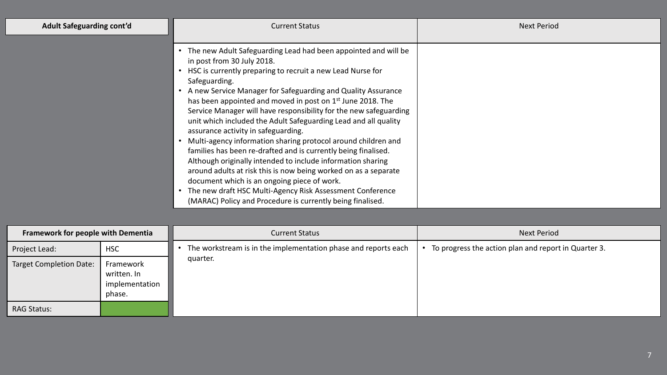| <b>Adult Safeguarding cont'd</b>          |            | <b>Current Status</b>                                                                                                                                                                                                                                                                                                                                                                                                                                                                                                                                                                                                                                                                                                                                                                                                                                                                                                                                            | <b>Next Period</b>                                   |
|-------------------------------------------|------------|------------------------------------------------------------------------------------------------------------------------------------------------------------------------------------------------------------------------------------------------------------------------------------------------------------------------------------------------------------------------------------------------------------------------------------------------------------------------------------------------------------------------------------------------------------------------------------------------------------------------------------------------------------------------------------------------------------------------------------------------------------------------------------------------------------------------------------------------------------------------------------------------------------------------------------------------------------------|------------------------------------------------------|
|                                           |            | The new Adult Safeguarding Lead had been appointed and will be<br>in post from 30 July 2018.<br>HSC is currently preparing to recruit a new Lead Nurse for<br>$\bullet$<br>Safeguarding.<br>A new Service Manager for Safeguarding and Quality Assurance<br>has been appointed and moved in post on 1 <sup>st</sup> June 2018. The<br>Service Manager will have responsibility for the new safeguarding<br>unit which included the Adult Safeguarding Lead and all quality<br>assurance activity in safeguarding.<br>Multi-agency information sharing protocol around children and<br>families has been re-drafted and is currently being finalised.<br>Although originally intended to include information sharing<br>around adults at risk this is now being worked on as a separate<br>document which is an ongoing piece of work.<br>The new draft HSC Multi-Agency Risk Assessment Conference<br>(MARAC) Policy and Procedure is currently being finalised. |                                                      |
| <b>Framework for people with Dementia</b> |            | <b>Current Status</b>                                                                                                                                                                                                                                                                                                                                                                                                                                                                                                                                                                                                                                                                                                                                                                                                                                                                                                                                            | <b>Next Period</b>                                   |
| Project Lead:                             | <b>HSC</b> | The workstream is in the implementation phase and reports each                                                                                                                                                                                                                                                                                                                                                                                                                                                                                                                                                                                                                                                                                                                                                                                                                                                                                                   | To progress the action plan and report in Quarter 3. |
|                                           |            | quarter.                                                                                                                                                                                                                                                                                                                                                                                                                                                                                                                                                                                                                                                                                                                                                                                                                                                                                                                                                         |                                                      |

| Project Lead:           | <b>HSC</b>                                           | The workstream is in the implementation phase and reports each | To progress the action plan and report in Quarter 3. |
|-------------------------|------------------------------------------------------|----------------------------------------------------------------|------------------------------------------------------|
| Target Completion Date: | Framework<br>written. In<br>implementation<br>phase. | quarter.                                                       |                                                      |
| <b>RAG Status:</b>      |                                                      |                                                                |                                                      |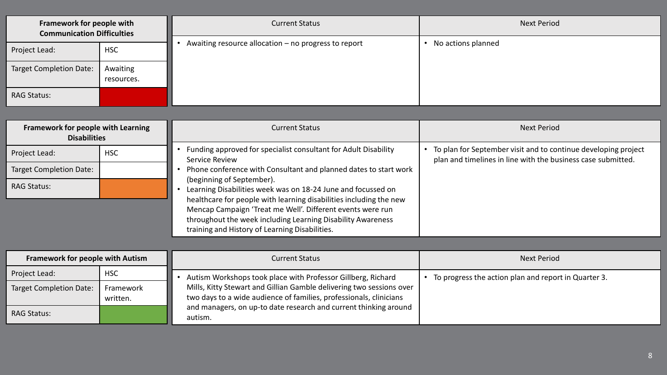| Framework for people with<br><b>Communication Difficulties</b> |                        | <b>Current Status</b>                                                                                                                                                                                                                                                                                                                                                                                              | <b>Next Period</b>                                                                                                               |
|----------------------------------------------------------------|------------------------|--------------------------------------------------------------------------------------------------------------------------------------------------------------------------------------------------------------------------------------------------------------------------------------------------------------------------------------------------------------------------------------------------------------------|----------------------------------------------------------------------------------------------------------------------------------|
| Project Lead:                                                  | <b>HSC</b>             | Awaiting resource allocation - no progress to report                                                                                                                                                                                                                                                                                                                                                               | • No actions planned                                                                                                             |
| <b>Target Completion Date:</b>                                 | Awaiting<br>resources. |                                                                                                                                                                                                                                                                                                                                                                                                                    |                                                                                                                                  |
| <b>RAG Status:</b>                                             |                        |                                                                                                                                                                                                                                                                                                                                                                                                                    |                                                                                                                                  |
|                                                                |                        |                                                                                                                                                                                                                                                                                                                                                                                                                    |                                                                                                                                  |
| Framework for people with Learning<br><b>Disabilities</b>      |                        | <b>Current Status</b>                                                                                                                                                                                                                                                                                                                                                                                              | <b>Next Period</b>                                                                                                               |
| Project Lead:                                                  | <b>HSC</b>             | • Funding approved for specialist consultant for Adult Disability<br>Service Review                                                                                                                                                                                                                                                                                                                                | • To plan for September visit and to continue developing project<br>plan and timelines in line with the business case submitted. |
| <b>Target Completion Date:</b>                                 |                        | Phone conference with Consultant and planned dates to start work<br>(beginning of September).<br>Learning Disabilities week was on 18-24 June and focussed on<br>healthcare for people with learning disabilities including the new<br>Mencap Campaign 'Treat me Well'. Different events were run<br>throughout the week including Learning Disability Awareness<br>training and History of Learning Disabilities. |                                                                                                                                  |
| <b>RAG Status:</b>                                             |                        |                                                                                                                                                                                                                                                                                                                                                                                                                    |                                                                                                                                  |
|                                                                |                        |                                                                                                                                                                                                                                                                                                                                                                                                                    |                                                                                                                                  |
|                                                                |                        |                                                                                                                                                                                                                                                                                                                                                                                                                    |                                                                                                                                  |
| <b>Framework for people with Autism</b>                        |                        | <b>Current Status</b>                                                                                                                                                                                                                                                                                                                                                                                              | <b>Next Period</b>                                                                                                               |
| Project Lead:                                                  | <b>HSC</b>             | Autism Workshops took place with Professor Gillberg, Richard                                                                                                                                                                                                                                                                                                                                                       | • To progress the action plan and report in Quarter 3.                                                                           |
| <b>Target Completion Date:</b>                                 | Framework<br>written.  | Mills, Kitty Stewart and Gillian Gamble delivering two sessions over<br>two days to a wide audience of families, professionals, clinicians<br>and managers, on up-to date research and current thinking around<br>autism.                                                                                                                                                                                          |                                                                                                                                  |
| <b>RAG Status:</b>                                             |                        |                                                                                                                                                                                                                                                                                                                                                                                                                    |                                                                                                                                  |